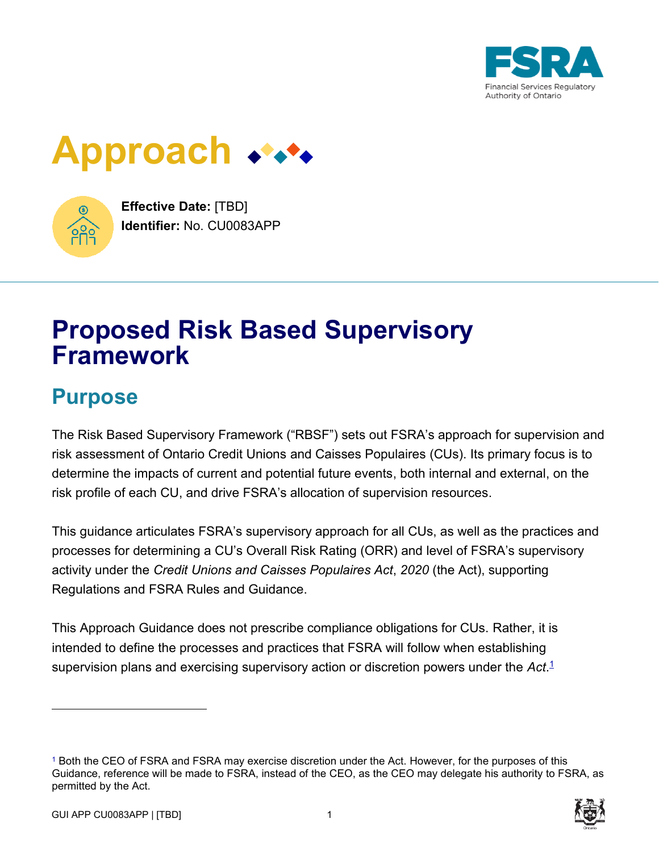

# **Approach**



**Effective Date:** [TBD] **Identifier:** No. CU0083APP

# **Proposed Risk Based Supervisory Framework**

# **Purpose**

The Risk Based Supervisory Framework ("RBSF") sets out FSRA's approach for supervision and risk assessment of Ontario Credit Unions and Caisses Populaires (CUs). Its primary focus is to determine the impacts of current and potential future events, both internal and external, on the risk profile of each CU, and drive FSRA's allocation of supervision resources.

This guidance articulates FSRA's supervisory approach for all CUs, as well as the practices and processes for determining a CU's Overall Risk Rating (ORR) and level of FSRA's supervisory activity under the *Credit Unions and Caisses Populaires Act*, *2020* (the Act), supporting Regulations and FSRA Rules and Guidance.

This Approach Guidance does not prescribe compliance obligations for CUs. Rather, it is intended to define the processes and practices that FSRA will follow when establishing supervision plans and exercising supervisory action or discretion powers under the *Act*. 1

<sup>1</sup> Both the CEO of FSRA and FSRA may exercise discretion under the Act. However, for the purposes of this Guidance, reference will be made to FSRA, instead of the CEO, as the CEO may delegate his authority to FSRA, as permitted by the Act.

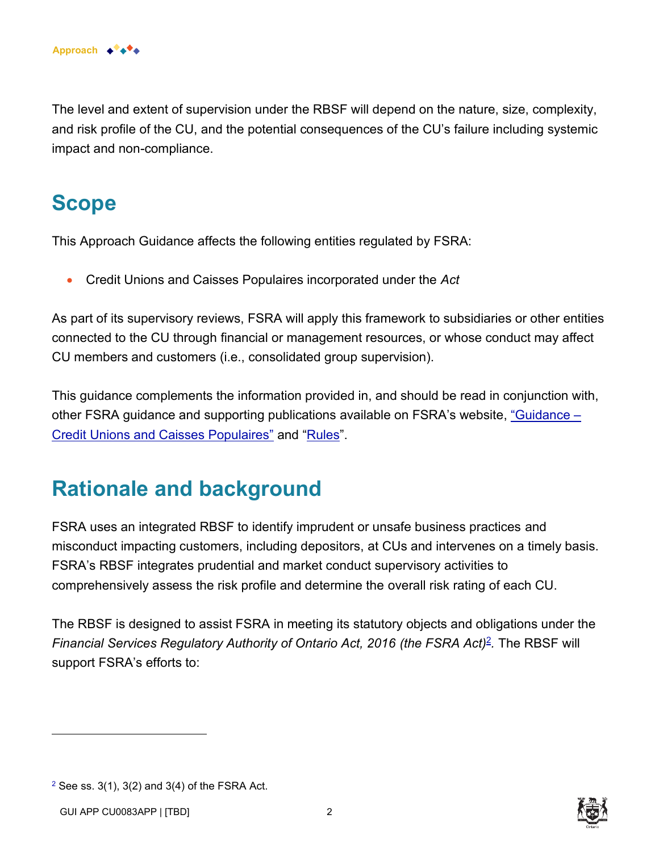The level and extent of supervision under the RBSF will depend on the nature, size, complexity, and risk profile of the CU, and the potential consequences of the CU's failure including systemic impact and non-compliance.

# **Scope**

This Approach Guidance affects the following entities regulated by FSRA:

• Credit Unions and Caisses Populaires incorporated under the *Act* 

As part of its supervisory reviews, FSRA will apply this framework to subsidiaries or other entities connected to the CU through financial or management resources, or whose conduct may affect CU members and customers (i.e., consolidated group supervision).

This guidance complements the information provided in, and should be read in conjunction with, other FSRA guidance and supporting publications available on FSRA's website, ["Guidance –](https://www.fsrao.ca/industry/credit-unions-and-caisses-populaires/regulatory-framework/guidance-credit-unions-and-caisses-populaires)  [Credit Unions and Caisses Populaires"](https://www.fsrao.ca/industry/credit-unions-and-caisses-populaires/regulatory-framework/guidance-credit-unions-and-caisses-populaires) and ["Rules"](https://www.fsrao.ca/industry/credit-unions-and-caisses-populaires/regulatory-framework/rules).

# **Rationale and background**

FSRA uses an integrated RBSF to identify imprudent or unsafe business practices and misconduct impacting customers, including depositors, at CUs and intervenes on a timely basis. FSRA's RBSF integrates prudential and market conduct supervisory activities to comprehensively assess the risk profile and determine the overall risk rating of each CU.

The RBSF is designed to assist FSRA in meeting its statutory objects and obligations under the Financial Services Regulatory Authority of Ontario Act, 2016 (the FSRA Act)<sup>2</sup>. The RBSF will support FSRA's efforts to:



 $2$  See ss. 3(1), 3(2) and 3(4) of the FSRA Act.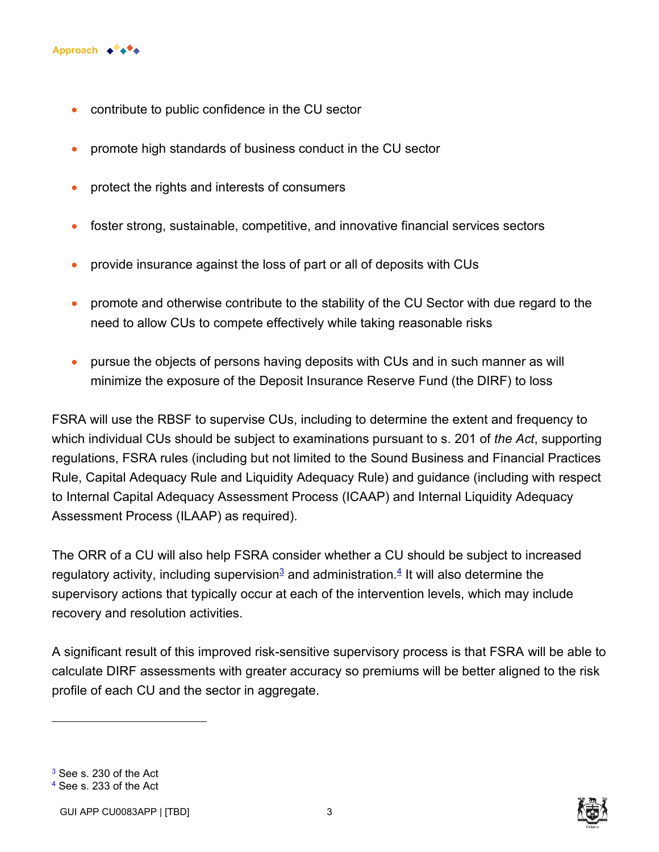

- contribute to public confidence in the CU sector
- promote high standards of business conduct in the CU sector
- protect the rights and interests of consumers
- foster strong, sustainable, competitive, and innovative financial services sectors
- provide insurance against the loss of part or all of deposits with CUs
- promote and otherwise contribute to the stability of the CU Sector with due regard to the need to allow CUs to compete effectively while taking reasonable risks
- pursue the objects of persons having deposits with CUs and in such manner as will minimize the exposure of the Deposit Insurance Reserve Fund (the DIRF) to loss

FSRA will use the RBSF to supervise CUs, including to determine the extent and frequency to which individual CUs should be subject to examinations pursuant to s. 201 of *the Act*, supporting regulations, FSRA rules (including but not limited to the Sound Business and Financial Practices Rule, Capital Adequacy Rule and Liquidity Adequacy Rule) and guidance (including with respect to Internal Capital Adequacy Assessment Process (ICAAP) and Internal Liquidity Adequacy Assessment Process (ILAAP) as required).

The ORR of a CU will also help FSRA consider whether a CU should be subject to increased regulatory activity, including supervision $^{\mathfrak{g}}$  and administration. $^{\mathfrak{g}}$  It will also determine the supervisory actions that typically occur at each of the intervention levels, which may include recovery and resolution activities.

A significant result of this improved risk-sensitive supervisory process is that FSRA will be able to calculate DIRF assessments with greater accuracy so premiums will be better aligned to the risk profile of each CU and the sector in aggregate.

 $^3$  See s. 230 of the Act



<sup>4</sup> See s. 233 of the Act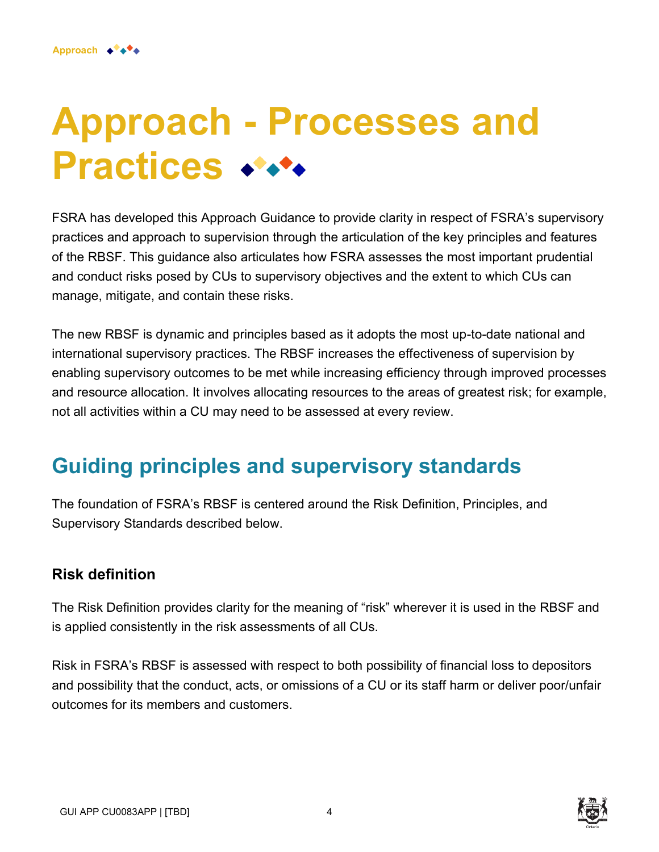# **Approach - Processes and Practices \*\*\*\***

FSRA has developed this Approach Guidance to provide clarity in respect of FSRA's supervisory practices and approach to supervision through the articulation of the key principles and features of the RBSF. This guidance also articulates how FSRA assesses the most important prudential and conduct risks posed by CUs to supervisory objectives and the extent to which CUs can manage, mitigate, and contain these risks.

The new RBSF is dynamic and principles based as it adopts the most up-to-date national and international supervisory practices. The RBSF increases the effectiveness of supervision by enabling supervisory outcomes to be met while increasing efficiency through improved processes and resource allocation. It involves allocating resources to the areas of greatest risk; for example, not all activities within a CU may need to be assessed at every review.

# **Guiding principles and supervisory standards**

The foundation of FSRA's RBSF is centered around the Risk Definition, Principles, and Supervisory Standards described below.

### **Risk definition**

The Risk Definition provides clarity for the meaning of "risk" wherever it is used in the RBSF and is applied consistently in the risk assessments of all CUs.

Risk in FSRA's RBSF is assessed with respect to both possibility of financial loss to depositors and possibility that the conduct, acts, or omissions of a CU or its staff harm or deliver poor/unfair outcomes for its members and customers.

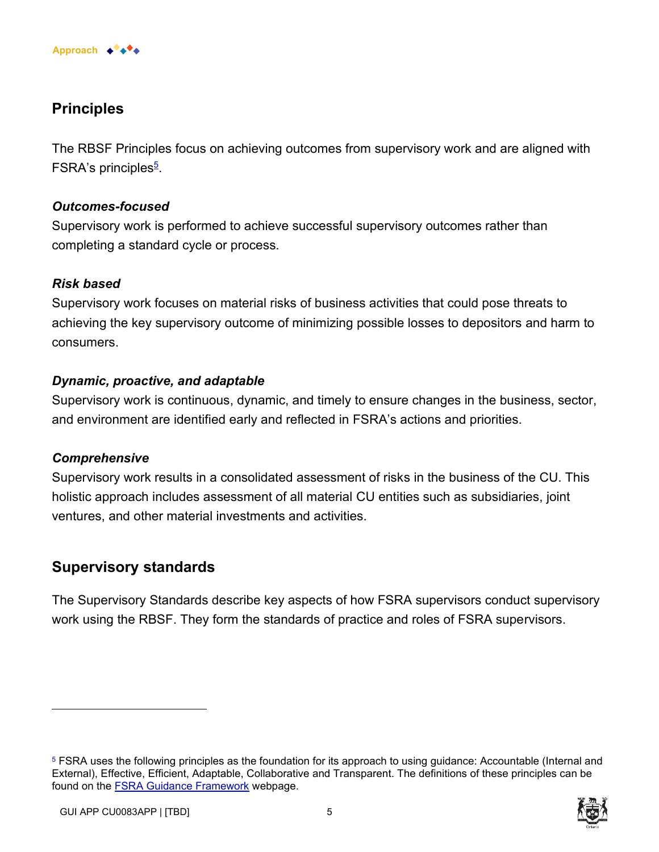

## **Principles**

The RBSF Principles focus on achieving outcomes from supervisory work and are aligned with FSRA's principles<sup>5</sup>.

#### *Outcomes-focused*

Supervisory work is performed to achieve successful supervisory outcomes rather than completing a standard cycle or process.

#### *Risk based*

Supervisory work focuses on material risks of business activities that could pose threats to achieving the key supervisory outcome of minimizing possible losses to depositors and harm to consumers.

#### *Dynamic, proactive, and adaptable*

Supervisory work is continuous, dynamic, and timely to ensure changes in the business, sector, and environment are identified early and reflected in FSRA's actions and priorities.

#### *Comprehensive*

Supervisory work results in a consolidated assessment of risks in the business of the CU. This holistic approach includes assessment of all material CU entities such as subsidiaries, joint ventures, and other material investments and activities.

### **Supervisory standards**

The Supervisory Standards describe key aspects of how FSRA supervisors conduct supervisory work using the RBSF. They form the standards of practice and roles of FSRA supervisors.

<sup>5</sup> FSRA uses the following principles as the foundation for its approach to using guidance: Accountable (Internal and External), Effective, Efficient, Adaptable, Collaborative and Transparent. The definitions of these principles can be found on the [FSRA Guidance Framework](https://www.fsrao.ca/regulation/guidance/fsra-guidance-framework) webpage.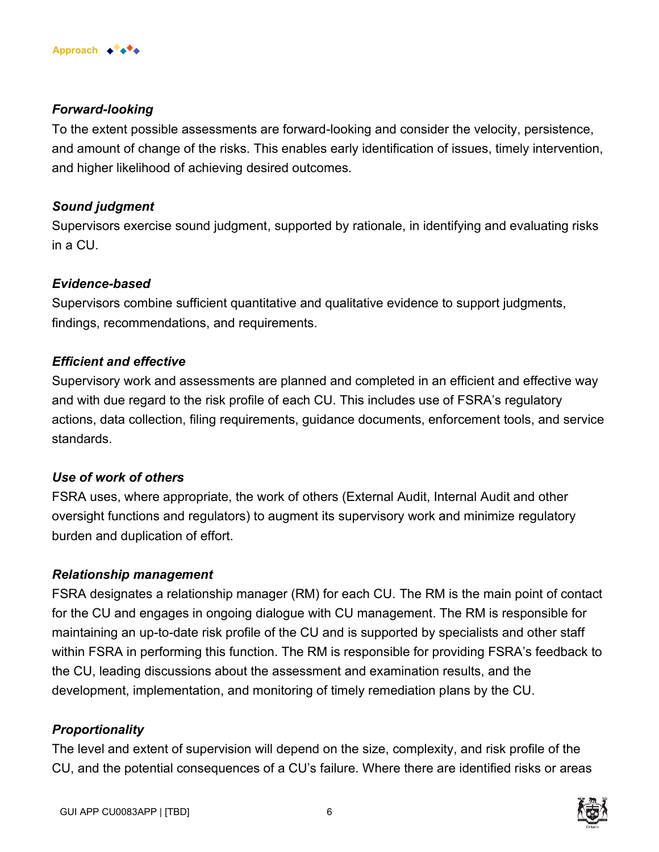

#### *Forward-looking*

To the extent possible assessments are forward-looking and consider the velocity, persistence, and amount of change of the risks. This enables early identification of issues, timely intervention, and higher likelihood of achieving desired outcomes.

#### *Sound judgment*

Supervisors exercise sound judgment, supported by rationale, in identifying and evaluating risks in a CU.

#### *Evidence-based*

Supervisors combine sufficient quantitative and qualitative evidence to support judgments, findings, recommendations, and requirements.

#### *Efficient and effective*

Supervisory work and assessments are planned and completed in an efficient and effective way and with due regard to the risk profile of each CU. This includes use of FSRA's regulatory actions, data collection, filing requirements, guidance documents, enforcement tools, and service standards.

#### *Use of work of others*

FSRA uses, where appropriate, the work of others (External Audit, Internal Audit and other oversight functions and regulators) to augment its supervisory work and minimize regulatory burden and duplication of effort.

#### *Relationship management*

FSRA designates a relationship manager (RM) for each CU. The RM is the main point of contact for the CU and engages in ongoing dialogue with CU management. The RM is responsible for maintaining an up-to-date risk profile of the CU and is supported by specialists and other staff within FSRA in performing this function. The RM is responsible for providing FSRA's feedback to the CU, leading discussions about the assessment and examination results, and the development, implementation, and monitoring of timely remediation plans by the CU.

### *Proportionality*

The level and extent of supervision will depend on the size, complexity, and risk profile of the CU, and the potential consequences of a CU's failure. Where there are identified risks or areas

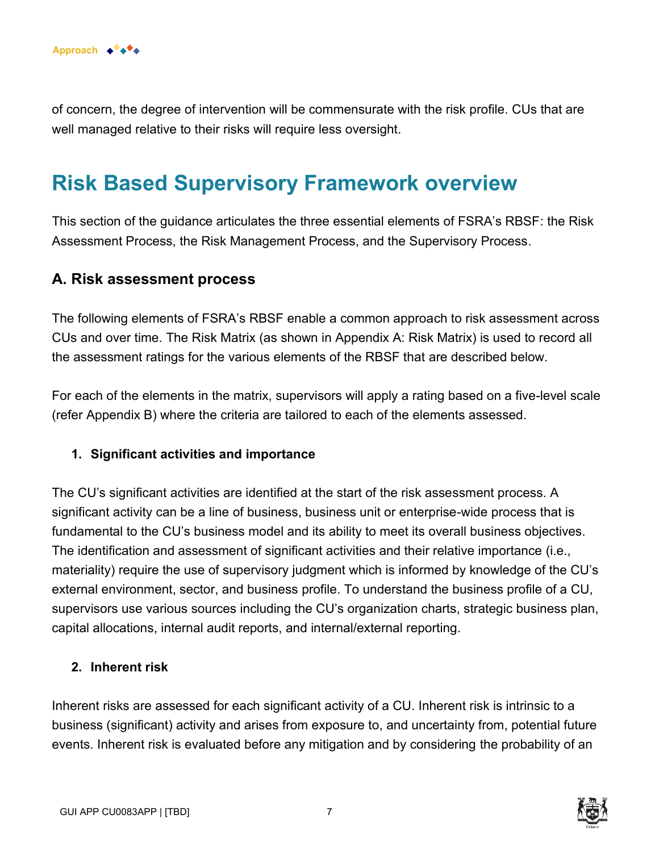

of concern, the degree of intervention will be commensurate with the risk profile. CUs that are well managed relative to their risks will require less oversight.

# **Risk Based Supervisory Framework overview**

This section of the guidance articulates the three essential elements of FSRA's RBSF: the Risk Assessment Process, the Risk Management Process, and the Supervisory Process.

### **A. Risk assessment process**

The following elements of FSRA's RBSF enable a common approach to risk assessment across CUs and over time. The Risk Matrix (as shown in Appendix A: Risk Matrix) is used to record all the assessment ratings for the various elements of the RBSF that are described below.

For each of the elements in the matrix, supervisors will apply a rating based on a five-level scale (refer Appendix B) where the criteria are tailored to each of the elements assessed.

#### **1. Significant activities and importance**

The CU's significant activities are identified at the start of the risk assessment process. A significant activity can be a line of business, business unit or enterprise-wide process that is fundamental to the CU's business model and its ability to meet its overall business objectives. The identification and assessment of significant activities and their relative importance (i.e., materiality) require the use of supervisory judgment which is informed by knowledge of the CU's external environment, sector, and business profile. To understand the business profile of a CU, supervisors use various sources including the CU's organization charts, strategic business plan, capital allocations, internal audit reports, and internal/external reporting.

#### **2. Inherent risk**

Inherent risks are assessed for each significant activity of a CU. Inherent risk is intrinsic to a business (significant) activity and arises from exposure to, and uncertainty from, potential future events. Inherent risk is evaluated before any mitigation and by considering the probability of an

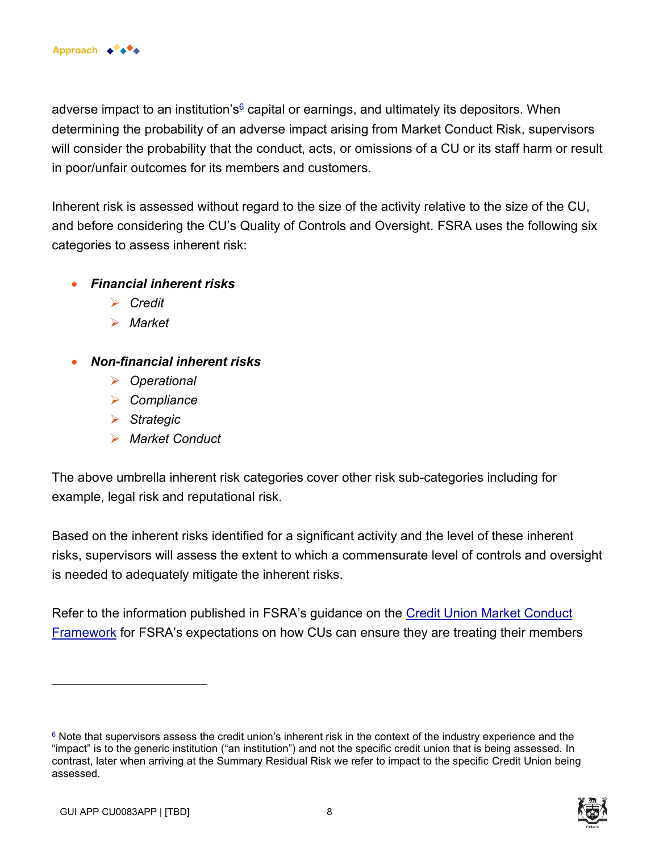adverse impact to an institution's<sup>6</sup> capital or earnings, and ultimately its depositors. When determining the probability of an adverse impact arising from Market Conduct Risk, supervisors will consider the probability that the conduct, acts, or omissions of a CU or its staff harm or result in poor/unfair outcomes for its members and customers.

Inherent risk is assessed without regard to the size of the activity relative to the size of the CU, and before considering the CU's Quality of Controls and Oversight. FSRA uses the following six categories to assess inherent risk:

- *Financial inherent risks* 
	- ➢ *Credit*
	- ➢ *Market*
- *Non-financial inherent risks* 
	- ➢ *Operational*
	- ➢ *Compliance*
	- ➢ *Strategic*
	- ➢ *Market Conduct*

The above umbrella inherent risk categories cover other risk sub-categories including for example, legal risk and reputational risk.

Based on the inherent risks identified for a significant activity and the level of these inherent risks, supervisors will assess the extent to which a commensurate level of controls and oversight is needed to adequately mitigate the inherent risks.

Refer to the information published in FSRA's guidance on the Credit Union Market Conduct Framework for FSRA's expectations on how CUs can ensure they are treating their members

 $6$  Note that supervisors assess the credit union's inherent risk in the context of the industry experience and the "impact" is to the generic institution ("an institution") and not the specific credit union that is being assessed. In contrast, later when arriving at the Summary Residual Risk we refer to impact to the specific Credit Union being assessed.

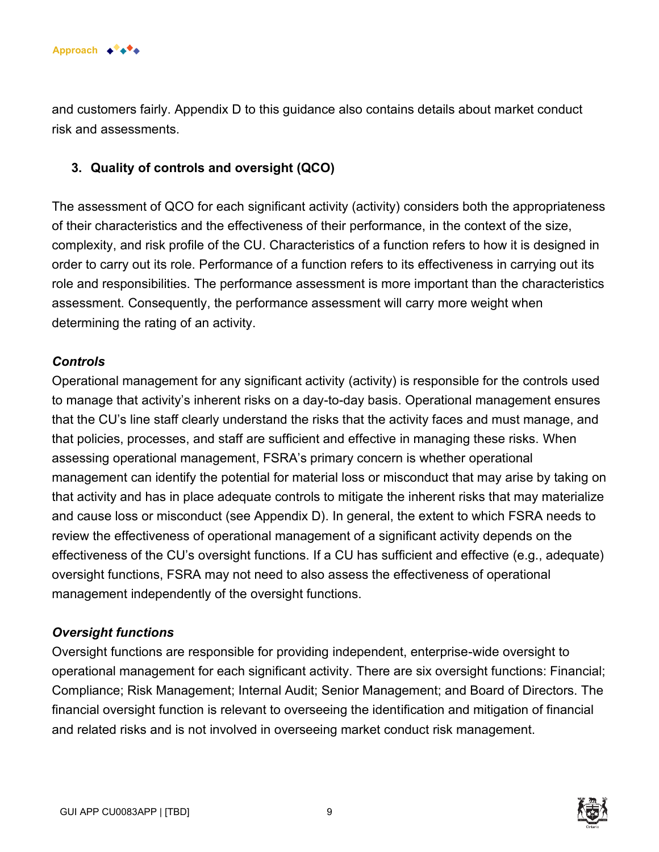

and customers fairly. Appendix D to this guidance also contains details about market conduct risk and assessments.

#### **3. Quality of controls and oversight (QCO)**

The assessment of QCO for each significant activity (activity) considers both the appropriateness of their characteristics and the effectiveness of their performance, in the context of the size, complexity, and risk profile of the CU. Characteristics of a function refers to how it is designed in order to carry out its role. Performance of a function refers to its effectiveness in carrying out its role and responsibilities. The performance assessment is more important than the characteristics assessment. Consequently, the performance assessment will carry more weight when determining the rating of an activity.

#### *Controls*

Operational management for any significant activity (activity) is responsible for the controls used to manage that activity's inherent risks on a day-to-day basis. Operational management ensures that the CU's line staff clearly understand the risks that the activity faces and must manage, and that policies, processes, and staff are sufficient and effective in managing these risks. When assessing operational management, FSRA's primary concern is whether operational management can identify the potential for material loss or misconduct that may arise by taking on that activity and has in place adequate controls to mitigate the inherent risks that may materialize and cause loss or misconduct (see Appendix D). In general, the extent to which FSRA needs to review the effectiveness of operational management of a significant activity depends on the effectiveness of the CU's oversight functions. If a CU has sufficient and effective (e.g., adequate) oversight functions, FSRA may not need to also assess the effectiveness of operational management independently of the oversight functions.

#### *Oversight functions*

Oversight functions are responsible for providing independent, enterprise-wide oversight to operational management for each significant activity. There are six oversight functions: Financial; Compliance; Risk Management; Internal Audit; Senior Management; and Board of Directors. The financial oversight function is relevant to overseeing the identification and mitigation of financial and related risks and is not involved in overseeing market conduct risk management.

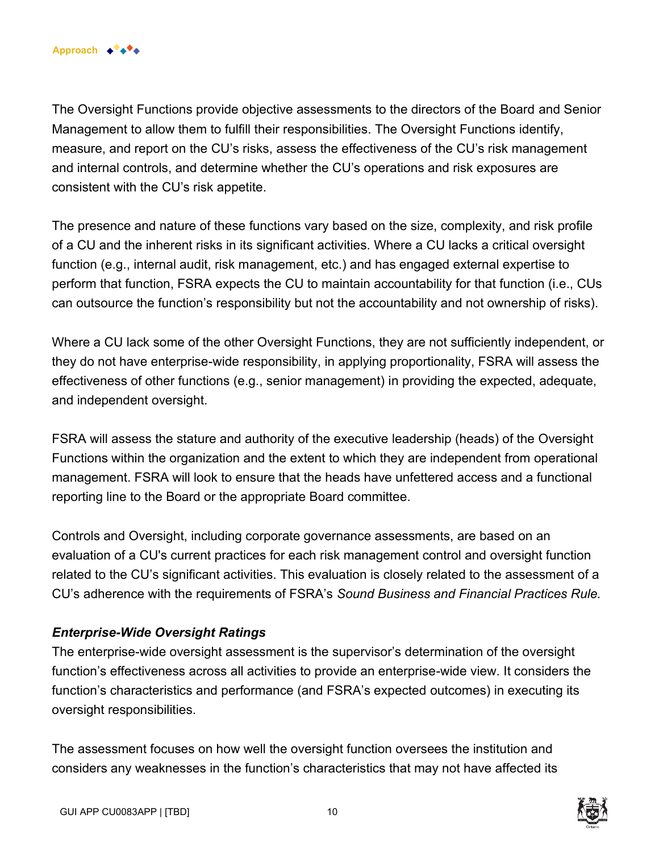The Oversight Functions provide objective assessments to the directors of the Board and Senior Management to allow them to fulfill their responsibilities. The Oversight Functions identify, measure, and report on the CU's risks, assess the effectiveness of the CU's risk management and internal controls, and determine whether the CU's operations and risk exposures are consistent with the CU's risk appetite.

The presence and nature of these functions vary based on the size, complexity, and risk profile of a CU and the inherent risks in its significant activities. Where a CU lacks a critical oversight function (e.g., internal audit, risk management, etc.) and has engaged external expertise to perform that function, FSRA expects the CU to maintain accountability for that function (i.e., CUs can outsource the function's responsibility but not the accountability and not ownership of risks).

Where a CU lack some of the other Oversight Functions, they are not sufficiently independent, or they do not have enterprise-wide responsibility, in applying proportionality, FSRA will assess the effectiveness of other functions (e.g., senior management) in providing the expected, adequate, and independent oversight.

FSRA will assess the stature and authority of the executive leadership (heads) of the Oversight Functions within the organization and the extent to which they are independent from operational management. FSRA will look to ensure that the heads have unfettered access and a functional reporting line to the Board or the appropriate Board committee.

Controls and Oversight, including corporate governance assessments, are based on an evaluation of a CU's current practices for each risk management control and oversight function related to the CU's significant activities. This evaluation is closely related to the assessment of a CU's adherence with the requirements of FSRA's *Sound Business and Financial Practices Rule.* 

### *Enterprise-Wide Oversight Ratings*

The enterprise-wide oversight assessment is the supervisor's determination of the oversight function's effectiveness across all activities to provide an enterprise-wide view. It considers the function's characteristics and performance (and FSRA's expected outcomes) in executing its oversight responsibilities.

The assessment focuses on how well the oversight function oversees the institution and considers any weaknesses in the function's characteristics that may not have affected its

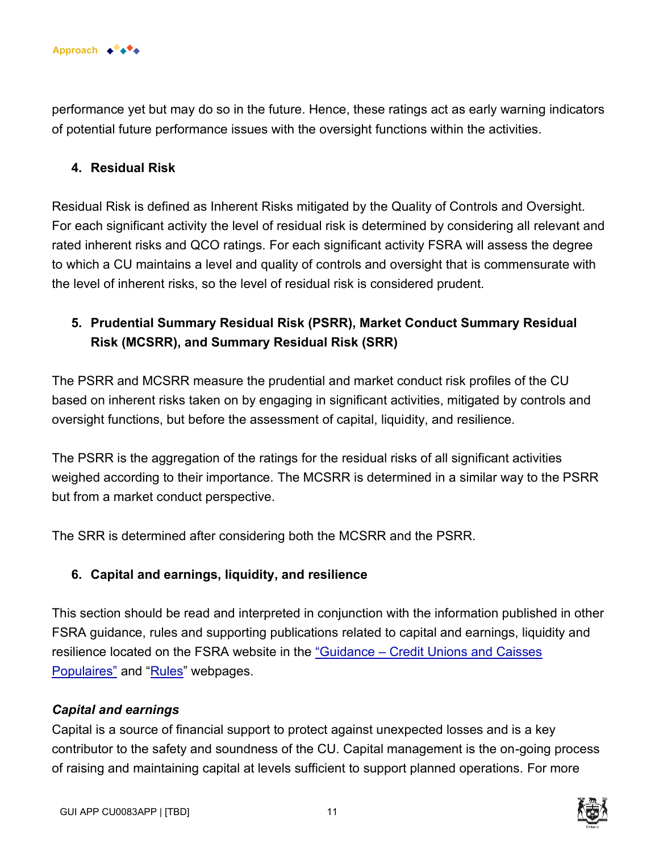

performance yet but may do so in the future. Hence, these ratings act as early warning indicators of potential future performance issues with the oversight functions within the activities.

#### **4. Residual Risk**

Residual Risk is defined as Inherent Risks mitigated by the Quality of Controls and Oversight. For each significant activity the level of residual risk is determined by considering all relevant and rated inherent risks and QCO ratings. For each significant activity FSRA will assess the degree to which a CU maintains a level and quality of controls and oversight that is commensurate with the level of inherent risks, so the level of residual risk is considered prudent.

### **5. Prudential Summary Residual Risk (PSRR), Market Conduct Summary Residual Risk (MCSRR), and Summary Residual Risk (SRR)**

The PSRR and MCSRR measure the prudential and market conduct risk profiles of the CU based on inherent risks taken on by engaging in significant activities, mitigated by controls and oversight functions, but before the assessment of capital, liquidity, and resilience.

The PSRR is the aggregation of the ratings for the residual risks of all significant activities weighed according to their importance. The MCSRR is determined in a similar way to the PSRR but from a market conduct perspective.

The SRR is determined after considering both the MCSRR and the PSRR.

#### **6. Capital and earnings, liquidity, and resilience**

This section should be read and interpreted in conjunction with the information published in other FSRA guidance, rules and supporting publications related to capital and earnings, liquidity and resilience located on the FSRA website in the "Guidance – Credit Unions and Caisses [Populaires"](https://www.fsrao.ca/industry/credit-unions-and-caisses-populaires/regulatory-framework/guidance-credit-unions-and-caisses-populaires) and ["Rules"](https://www.fsrao.ca/industry/credit-unions-and-caisses-populaires/regulatory-framework/rules) webpages.

#### *Capital and earnings*

Capital is a source of financial support to protect against unexpected losses and is a key contributor to the safety and soundness of the CU. Capital management is the on-going process of raising and maintaining capital at levels sufficient to support planned operations. For more



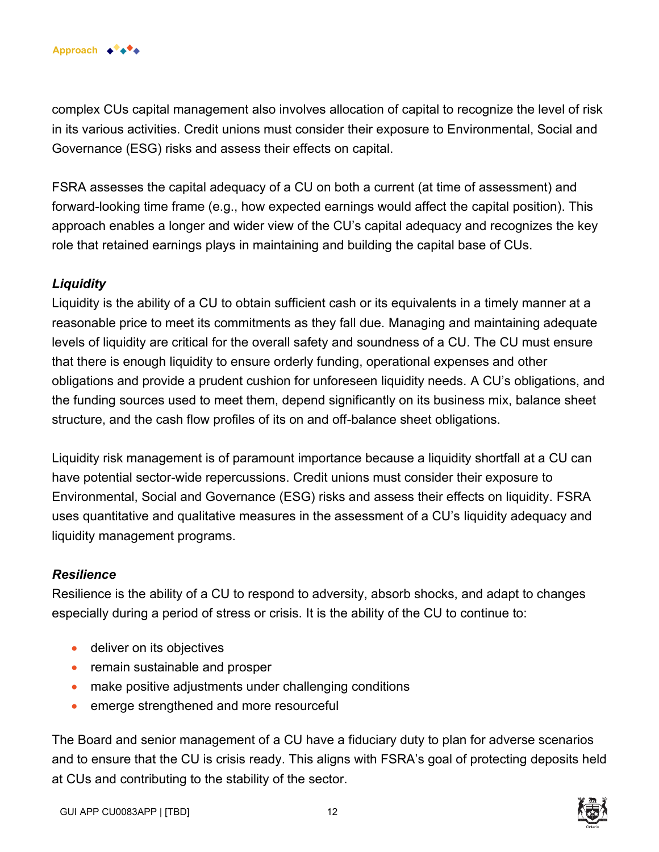complex CUs capital management also involves allocation of capital to recognize the level of risk in its various activities. Credit unions must consider their exposure to Environmental, Social and Governance (ESG) risks and assess their effects on capital.

FSRA assesses the capital adequacy of a CU on both a current (at time of assessment) and forward-looking time frame (e.g., how expected earnings would affect the capital position). This approach enables a longer and wider view of the CU's capital adequacy and recognizes the key role that retained earnings plays in maintaining and building the capital base of CUs.

#### *Liquidity*

Liquidity is the ability of a CU to obtain sufficient cash or its equivalents in a timely manner at a reasonable price to meet its commitments as they fall due. Managing and maintaining adequate levels of liquidity are critical for the overall safety and soundness of a CU. The CU must ensure that there is enough liquidity to ensure orderly funding, operational expenses and other obligations and provide a prudent cushion for unforeseen liquidity needs. A CU's obligations, and the funding sources used to meet them, depend significantly on its business mix, balance sheet structure, and the cash flow profiles of its on and off-balance sheet obligations.

Liquidity risk management is of paramount importance because a liquidity shortfall at a CU can have potential sector-wide repercussions. Credit unions must consider their exposure to Environmental, Social and Governance (ESG) risks and assess their effects on liquidity. FSRA uses quantitative and qualitative measures in the assessment of a CU's liquidity adequacy and liquidity management programs.

#### *Resilience*

Resilience is the ability of a CU to respond to adversity, absorb shocks, and adapt to changes especially during a period of stress or crisis. It is the ability of the CU to continue to:

- deliver on its objectives
- remain sustainable and prosper
- make positive adjustments under challenging conditions
- emerge strengthened and more resourceful

The Board and senior management of a CU have a fiduciary duty to plan for adverse scenarios and to ensure that the CU is crisis ready. This aligns with FSRA's goal of protecting deposits held at CUs and contributing to the stability of the sector.

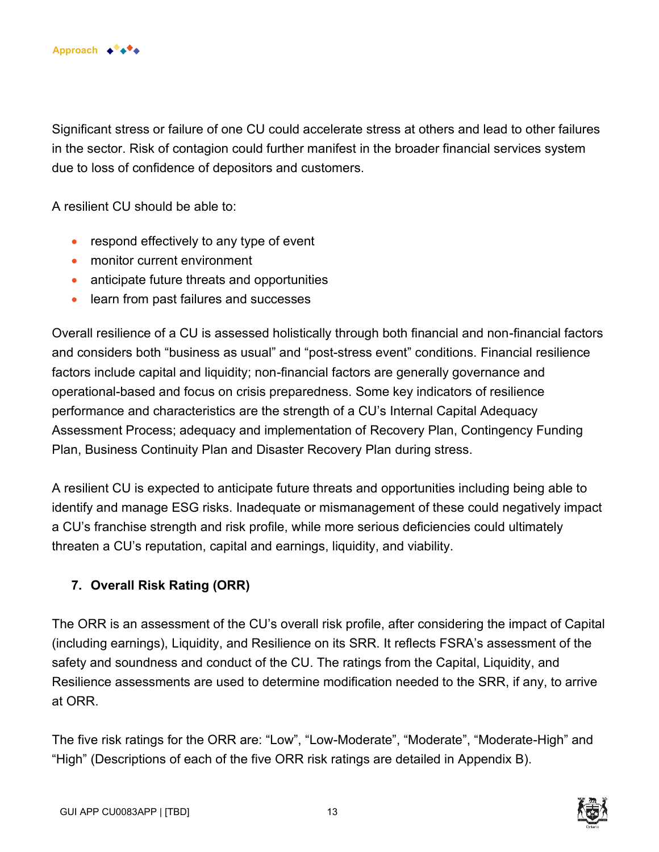

Significant stress or failure of one CU could accelerate stress at others and lead to other failures in the sector. Risk of contagion could further manifest in the broader financial services system due to loss of confidence of depositors and customers.

A resilient CU should be able to:

- respond effectively to any type of event
- monitor current environment
- anticipate future threats and opportunities
- learn from past failures and successes

Overall resilience of a CU is assessed holistically through both financial and non-financial factors and considers both "business as usual" and "post-stress event" conditions. Financial resilience factors include capital and liquidity; non-financial factors are generally governance and operational-based and focus on crisis preparedness. Some key indicators of resilience performance and characteristics are the strength of a CU's Internal Capital Adequacy Assessment Process; adequacy and implementation of Recovery Plan, Contingency Funding Plan, Business Continuity Plan and Disaster Recovery Plan during stress.

A resilient CU is expected to anticipate future threats and opportunities including being able to identify and manage ESG risks. Inadequate or mismanagement of these could negatively impact a CU's franchise strength and risk profile, while more serious deficiencies could ultimately threaten a CU's reputation, capital and earnings, liquidity, and viability.

### **7. Overall Risk Rating (ORR)**

The ORR is an assessment of the CU's overall risk profile, after considering the impact of Capital (including earnings), Liquidity, and Resilience on its SRR. It reflects FSRA's assessment of the safety and soundness and conduct of the CU. The ratings from the Capital, Liquidity, and Resilience assessments are used to determine modification needed to the SRR, if any, to arrive at ORR.

The five risk ratings for the ORR are: "Low", "Low-Moderate", "Moderate", "Moderate-High" and "High" (Descriptions of each of the five ORR risk ratings are detailed in Appendix B).

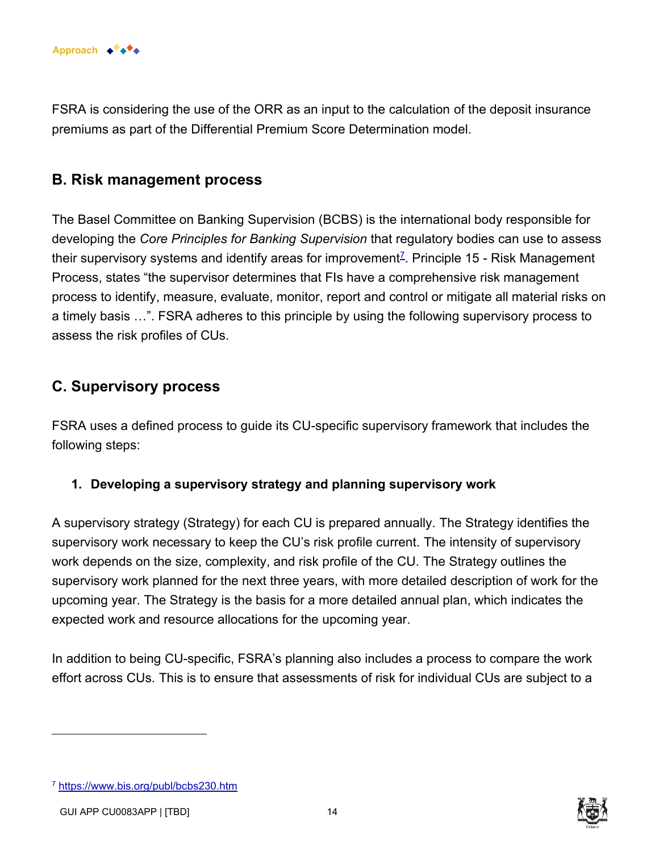

FSRA is considering the use of the ORR as an input to the calculation of the deposit insurance premiums as part of the Differential Premium Score Determination model.

### **B. Risk management process**

The Basel Committee on Banking Supervision (BCBS) is the international body responsible for developing the *Core Principles for Banking Supervision* that regulatory bodies can use to assess their supervisory systems and identify areas for improvement $^\mathbb{Z}$ . Principle 15 - Risk Management Process, states "the supervisor determines that FIs have a comprehensive risk management process to identify, measure, evaluate, monitor, report and control or mitigate all material risks on a timely basis …". FSRA adheres to this principle by using the following supervisory process to assess the risk profiles of CUs.

## **C. Supervisory process**

FSRA uses a defined process to guide its CU-specific supervisory framework that includes the following steps:

### **1. Developing a supervisory strategy and planning supervisory work**

A supervisory strategy (Strategy) for each CU is prepared annually. The Strategy identifies the supervisory work necessary to keep the CU's risk profile current. The intensity of supervisory work depends on the size, complexity, and risk profile of the CU. The Strategy outlines the supervisory work planned for the next three years, with more detailed description of work for the upcoming year. The Strategy is the basis for a more detailed annual plan, which indicates the expected work and resource allocations for the upcoming year.

In addition to being CU-specific, FSRA's planning also includes a process to compare the work effort across CUs. This is to ensure that assessments of risk for individual CUs are subject to a



<sup>7</sup> <https://www.bis.org/publ/bcbs230.htm>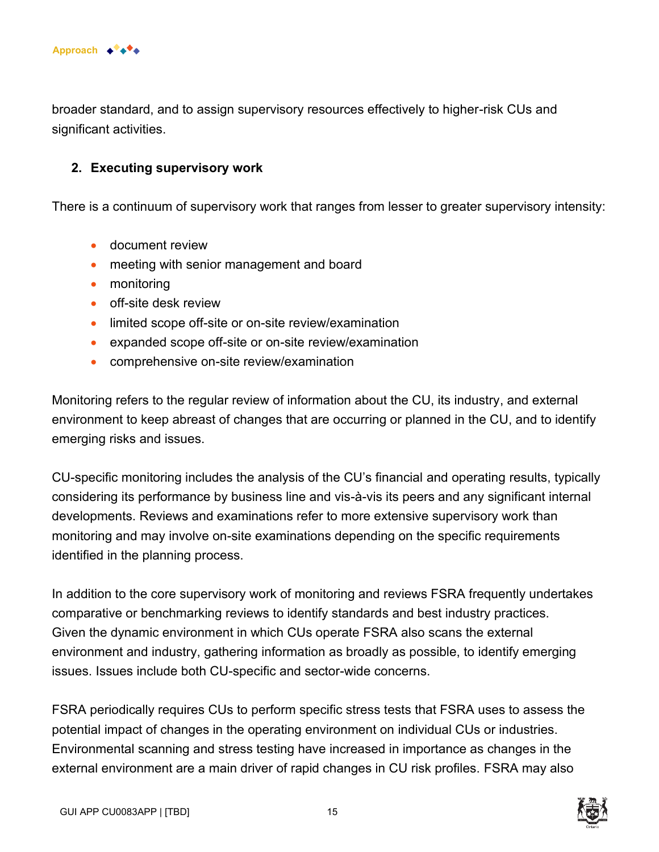

broader standard, and to assign supervisory resources effectively to higher-risk CUs and significant activities.

#### **2. Executing supervisory work**

There is a continuum of supervisory work that ranges from lesser to greater supervisory intensity:

- document review
- meeting with senior management and board
- monitoring
- off-site desk review
- limited scope off-site or on-site review/examination
- expanded scope off-site or on-site review/examination
- comprehensive on-site review/examination

Monitoring refers to the regular review of information about the CU, its industry, and external environment to keep abreast of changes that are occurring or planned in the CU, and to identify emerging risks and issues.

CU-specific monitoring includes the analysis of the CU's financial and operating results, typically considering its performance by business line and vis-à-vis its peers and any significant internal developments. Reviews and examinations refer to more extensive supervisory work than monitoring and may involve on-site examinations depending on the specific requirements identified in the planning process.

In addition to the core supervisory work of monitoring and reviews FSRA frequently undertakes comparative or benchmarking reviews to identify standards and best industry practices. Given the dynamic environment in which CUs operate FSRA also scans the external environment and industry, gathering information as broadly as possible, to identify emerging issues. Issues include both CU-specific and sector-wide concerns.

FSRA periodically requires CUs to perform specific stress tests that FSRA uses to assess the potential impact of changes in the operating environment on individual CUs or industries. Environmental scanning and stress testing have increased in importance as changes in the external environment are a main driver of rapid changes in CU risk profiles. FSRA may also

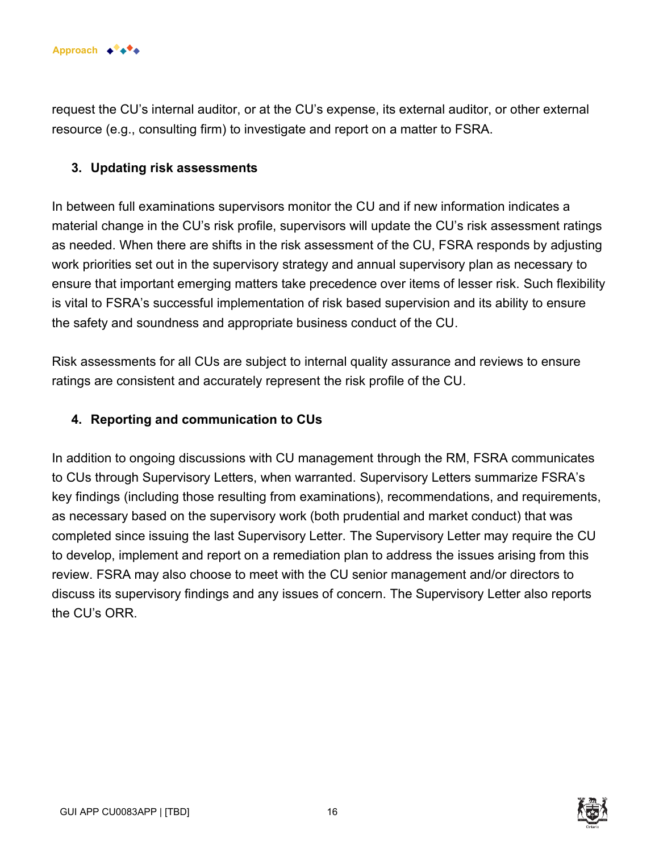

request the CU's internal auditor, or at the CU's expense, its external auditor, or other external resource (e.g., consulting firm) to investigate and report on a matter to FSRA.

#### **3. Updating risk assessments**

In between full examinations supervisors monitor the CU and if new information indicates a material change in the CU's risk profile, supervisors will update the CU's risk assessment ratings as needed. When there are shifts in the risk assessment of the CU, FSRA responds by adjusting work priorities set out in the supervisory strategy and annual supervisory plan as necessary to ensure that important emerging matters take precedence over items of lesser risk. Such flexibility is vital to FSRA's successful implementation of risk based supervision and its ability to ensure the safety and soundness and appropriate business conduct of the CU.

Risk assessments for all CUs are subject to internal quality assurance and reviews to ensure ratings are consistent and accurately represent the risk profile of the CU.

#### **4. Reporting and communication to CUs**

In addition to ongoing discussions with CU management through the RM, FSRA communicates to CUs through Supervisory Letters, when warranted. Supervisory Letters summarize FSRA's key findings (including those resulting from examinations), recommendations, and requirements, as necessary based on the supervisory work (both prudential and market conduct) that was completed since issuing the last Supervisory Letter. The Supervisory Letter may require the CU to develop, implement and report on a remediation plan to address the issues arising from this review. FSRA may also choose to meet with the CU senior management and/or directors to discuss its supervisory findings and any issues of concern. The Supervisory Letter also reports the CU's ORR.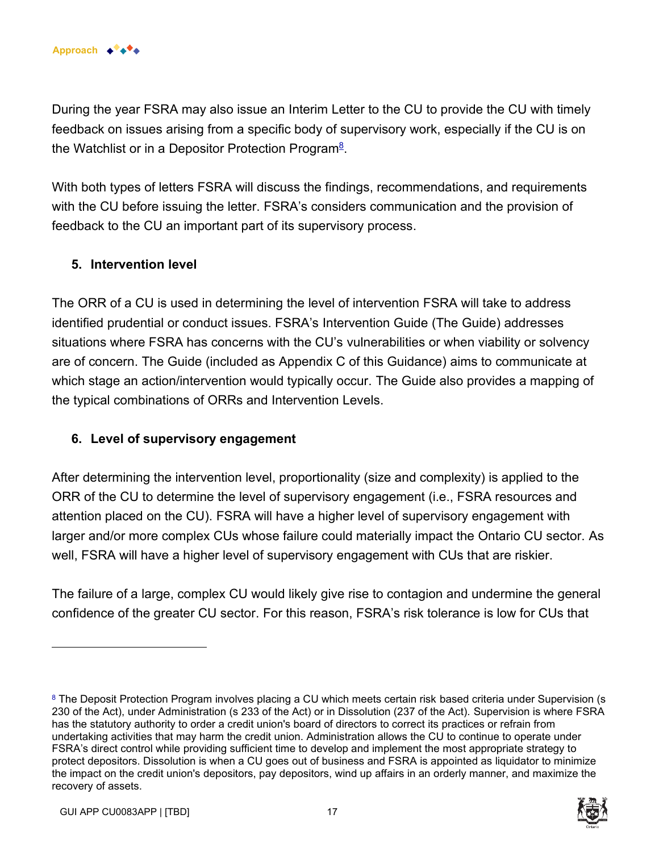During the year FSRA may also issue an Interim Letter to the CU to provide the CU with timely feedback on issues arising from a specific body of supervisory work, especially if the CU is on the Watchlist or in a Depositor Protection Program<sup>8</sup>.

With both types of letters FSRA will discuss the findings, recommendations, and requirements with the CU before issuing the letter. FSRA's considers communication and the provision of feedback to the CU an important part of its supervisory process.

#### **5. Intervention level**

The ORR of a CU is used in determining the level of intervention FSRA will take to address identified prudential or conduct issues. FSRA's Intervention Guide (The Guide) addresses situations where FSRA has concerns with the CU's vulnerabilities or when viability or solvency are of concern. The Guide (included as Appendix C of this Guidance) aims to communicate at which stage an action/intervention would typically occur. The Guide also provides a mapping of the typical combinations of ORRs and Intervention Levels.

#### **6. Level of supervisory engagement**

After determining the intervention level, proportionality (size and complexity) is applied to the ORR of the CU to determine the level of supervisory engagement (i.e., FSRA resources and attention placed on the CU). FSRA will have a higher level of supervisory engagement with larger and/or more complex CUs whose failure could materially impact the Ontario CU sector. As well, FSRA will have a higher level of supervisory engagement with CUs that are riskier.

The failure of a large, complex CU would likely give rise to contagion and undermine the general confidence of the greater CU sector. For this reason, FSRA's risk tolerance is low for CUs that

<sup>&</sup>lt;sup>8</sup> The Deposit Protection Program involves placing a CU which meets certain risk based criteria under Supervision (s 230 of the Act), under Administration (s 233 of the Act) or in Dissolution (237 of the Act). Supervision is where FSRA has the statutory authority to order a credit union's board of directors to correct its practices or refrain from undertaking activities that may harm the credit union. Administration allows the CU to continue to operate under FSRA's direct control while providing sufficient time to develop and implement the most appropriate strategy to protect depositors. Dissolution is when a CU goes out of business and FSRA is appointed as liquidator to minimize the impact on the credit union's depositors, pay depositors, wind up affairs in an orderly manner, and maximize the recovery of assets.

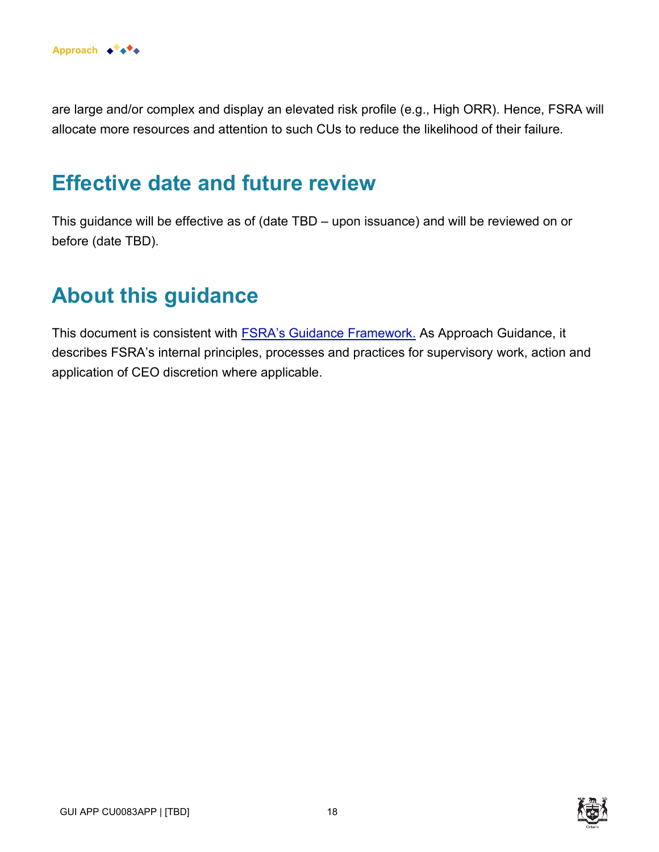are large and/or complex and display an elevated risk profile (e.g., High ORR). Hence, FSRA will allocate more resources and attention to such CUs to reduce the likelihood of their failure.

# **Effective date and future review**

This guidance will be effective as of (date TBD – upon issuance) and will be reviewed on or before (date TBD).

# **About this guidance**

This document is consistent with [FSRA's Guidance Framework.](https://www.fsrao.ca/regulation/guidance/fsra-guidance-framework) As Approach Guidance, it describes FSRA's internal principles, processes and practices for supervisory work, action and application of CEO discretion where applicable.



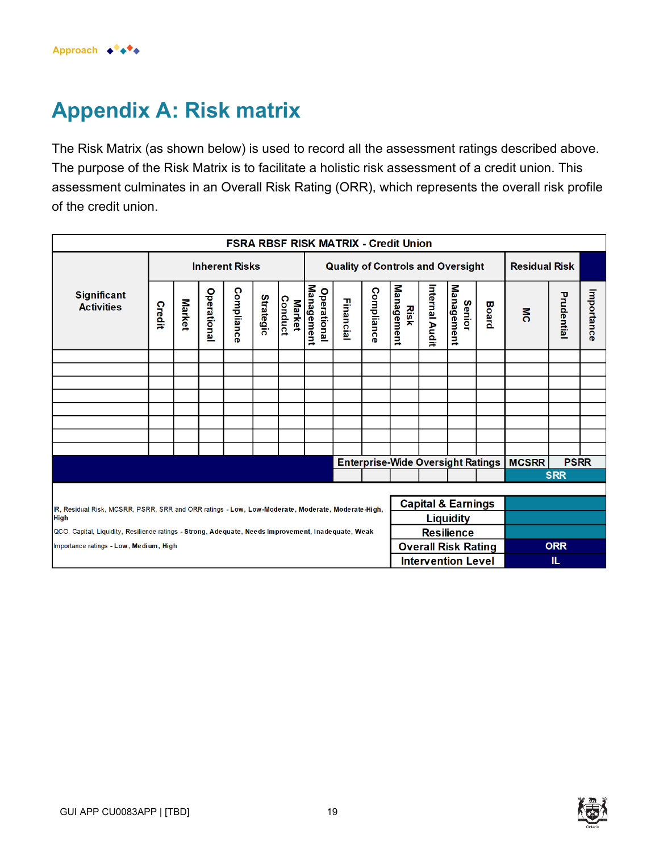# **Appendix A: Risk matrix**

The Risk Matrix (as shown below) is used to record all the assessment ratings described above. The purpose of the Risk Matrix is to facilitate a holistic risk assessment of a credit union. This assessment culminates in an Overall Risk Rating (ORR), which represents the overall risk profile of the credit union.

| <b>FSRA RBSF RISK MATRIX - Credit Union</b>                                                                                       |                       |               |                   |                |                  |                                          |                                  |                            |            |                                          |                |                           |                      |                |             |            |
|-----------------------------------------------------------------------------------------------------------------------------------|-----------------------|---------------|-------------------|----------------|------------------|------------------------------------------|----------------------------------|----------------------------|------------|------------------------------------------|----------------|---------------------------|----------------------|----------------|-------------|------------|
|                                                                                                                                   | <b>Inherent Risks</b> |               |                   |                |                  | <b>Quality of Controls and Oversight</b> |                                  |                            |            |                                          |                |                           | <b>Residual Risk</b> |                |             |            |
| <b>Significant</b><br><b>Activities</b>                                                                                           | Credit                | <b>Market</b> | <b>Operationa</b> | Complianc<br>œ | <b>Strategic</b> | <b>Conduct</b><br><b>Market</b>          | Management<br><b>Operational</b> | Financial                  | Compliance | Management<br>Risk                       | Internal Audit | Management<br>Senior      | <b>Board</b>         | $\overline{5}$ | Prudential  | Importance |
|                                                                                                                                   |                       |               |                   |                |                  |                                          |                                  |                            |            |                                          |                |                           |                      |                |             |            |
|                                                                                                                                   |                       |               |                   |                |                  |                                          |                                  |                            |            |                                          |                |                           |                      |                |             |            |
|                                                                                                                                   |                       |               |                   |                |                  |                                          |                                  |                            |            |                                          |                |                           |                      |                |             |            |
|                                                                                                                                   |                       |               |                   |                |                  |                                          |                                  |                            |            |                                          |                |                           |                      |                |             |            |
|                                                                                                                                   |                       |               |                   |                |                  |                                          |                                  |                            |            |                                          |                |                           |                      |                |             |            |
|                                                                                                                                   |                       |               |                   |                |                  |                                          |                                  |                            |            |                                          |                |                           |                      |                |             |            |
|                                                                                                                                   |                       |               |                   |                |                  |                                          |                                  |                            |            | <b>Enterprise-Wide Oversight Ratings</b> |                |                           |                      | <b>MCSRR</b>   | <b>PSRR</b> |            |
|                                                                                                                                   |                       |               |                   |                |                  |                                          |                                  |                            |            |                                          |                |                           |                      |                | <b>SRR</b>  |            |
|                                                                                                                                   |                       |               |                   |                |                  |                                          |                                  |                            |            |                                          |                |                           |                      |                |             |            |
| <b>Capital &amp; Earnings</b><br>R, Residual Risk, MCSRR, PSRR, SRR and ORR ratings - Low, Low-Moderate, Moderate, Moderate-High, |                       |               |                   |                |                  |                                          |                                  |                            |            |                                          |                |                           |                      |                |             |            |
| <b>Liquidity</b><br><b>High</b>                                                                                                   |                       |               |                   |                |                  |                                          |                                  |                            |            |                                          |                |                           |                      |                |             |            |
| QCO, Capital, Liquidity, Resilience ratings - Strong, Adequate, Needs Improvement, Inadequate, Weak<br><b>Resilience</b>          |                       |               |                   |                |                  |                                          |                                  |                            |            |                                          |                |                           |                      |                |             |            |
| Importance ratings - Low, Medium, High                                                                                            |                       |               |                   |                |                  |                                          |                                  | <b>Overall Risk Rating</b> |            |                                          |                |                           |                      | <b>ORR</b>     |             |            |
|                                                                                                                                   |                       |               |                   |                |                  |                                          |                                  |                            |            |                                          |                | <b>Intervention Level</b> |                      |                | IL.         |            |



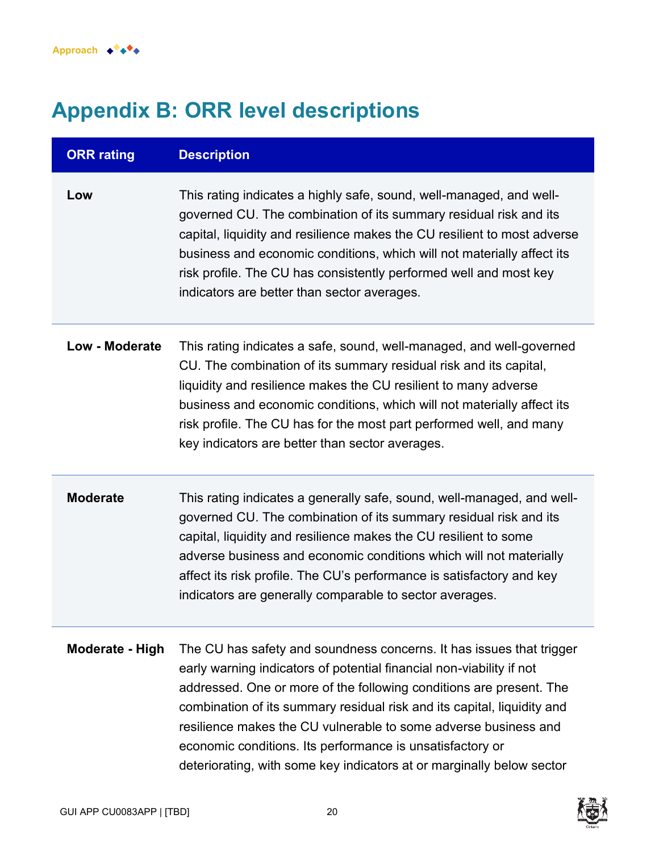# **Appendix B: ORR level descriptions**

| <b>ORR</b> rating     | <b>Description</b>                                                                                                                                                                                                                                                                                                                                                                                                                                                                                      |
|-----------------------|---------------------------------------------------------------------------------------------------------------------------------------------------------------------------------------------------------------------------------------------------------------------------------------------------------------------------------------------------------------------------------------------------------------------------------------------------------------------------------------------------------|
| Low                   | This rating indicates a highly safe, sound, well-managed, and well-<br>governed CU. The combination of its summary residual risk and its<br>capital, liquidity and resilience makes the CU resilient to most adverse<br>business and economic conditions, which will not materially affect its<br>risk profile. The CU has consistently performed well and most key<br>indicators are better than sector averages.                                                                                      |
| <b>Low - Moderate</b> | This rating indicates a safe, sound, well-managed, and well-governed<br>CU. The combination of its summary residual risk and its capital,<br>liquidity and resilience makes the CU resilient to many adverse<br>business and economic conditions, which will not materially affect its<br>risk profile. The CU has for the most part performed well, and many<br>key indicators are better than sector averages.                                                                                        |
| <b>Moderate</b>       | This rating indicates a generally safe, sound, well-managed, and well-<br>governed CU. The combination of its summary residual risk and its<br>capital, liquidity and resilience makes the CU resilient to some<br>adverse business and economic conditions which will not materially<br>affect its risk profile. The CU's performance is satisfactory and key<br>indicators are generally comparable to sector averages.                                                                               |
| Moderate - High       | The CU has safety and soundness concerns. It has issues that trigger<br>early warning indicators of potential financial non-viability if not<br>addressed. One or more of the following conditions are present. The<br>combination of its summary residual risk and its capital, liquidity and<br>resilience makes the CU vulnerable to some adverse business and<br>economic conditions. Its performance is unsatisfactory or<br>deteriorating, with some key indicators at or marginally below sector |

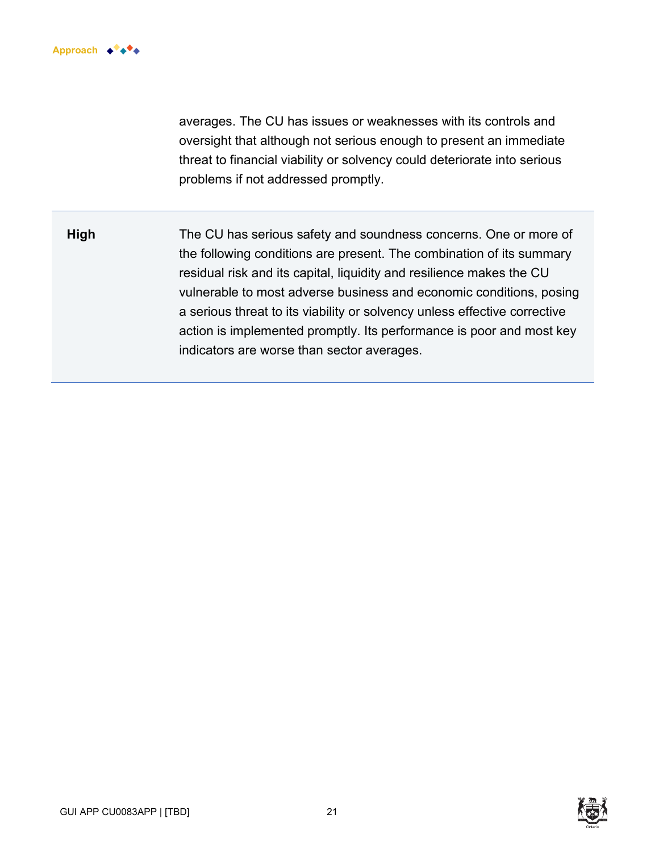

averages. The CU has issues or weaknesses with its controls and oversight that although not serious enough to present an immediate threat to financial viability or solvency could deteriorate into serious problems if not addressed promptly.

**High** The CU has serious safety and soundness concerns. One or more of the following conditions are present. The combination of its summary residual risk and its capital, liquidity and resilience makes the CU vulnerable to most adverse business and economic conditions, posing a serious threat to its viability or solvency unless effective corrective action is implemented promptly. Its performance is poor and most key indicators are worse than sector averages.

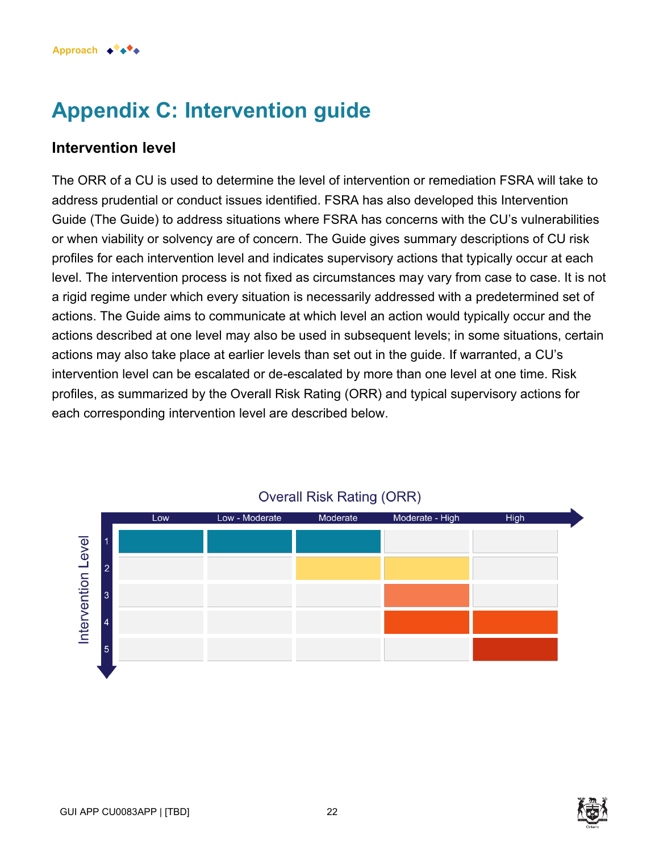# **Appendix C: Intervention guide**

### **Intervention level**

The ORR of a CU is used to determine the level of intervention or remediation FSRA will take to address prudential or conduct issues identified. FSRA has also developed this Intervention Guide (The Guide) to address situations where FSRA has concerns with the CU's vulnerabilities or when viability or solvency are of concern. The Guide gives summary descriptions of CU risk profiles for each intervention level and indicates supervisory actions that typically occur at each level. The intervention process is not fixed as circumstances may vary from case to case. It is not a rigid regime under which every situation is necessarily addressed with a predetermined set of actions. The Guide aims to communicate at which level an action would typically occur and the actions described at one level may also be used in subsequent levels; in some situations, certain actions may also take place at earlier levels than set out in the guide. If warranted, a CU's intervention level can be escalated or de-escalated by more than one level at one time. Risk profiles, as summarized by the Overall Risk Rating (ORR) and typical supervisory actions for each corresponding intervention level are described below.



### **Overall Risk Rating (ORR)**

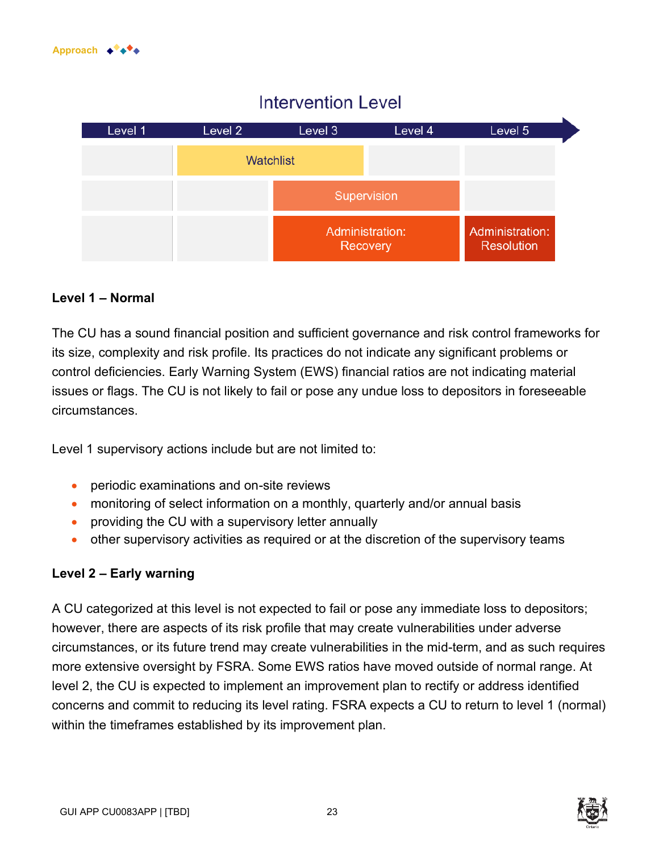# **Intervention Level**



#### **Level 1 – Normal**

The CU has a sound financial position and sufficient governance and risk control frameworks for its size, complexity and risk profile. Its practices do not indicate any significant problems or control deficiencies. Early Warning System (EWS) financial ratios are not indicating material issues or flags. The CU is not likely to fail or pose any undue loss to depositors in foreseeable circumstances.

Level 1 supervisory actions include but are not limited to:

- periodic examinations and on-site reviews
- monitoring of select information on a monthly, quarterly and/or annual basis
- providing the CU with a supervisory letter annually
- other supervisory activities as required or at the discretion of the supervisory teams

#### **Level 2 – Early warning**

A CU categorized at this level is not expected to fail or pose any immediate loss to depositors; however, there are aspects of its risk profile that may create vulnerabilities under adverse circumstances, or its future trend may create vulnerabilities in the mid-term, and as such requires more extensive oversight by FSRA. Some EWS ratios have moved outside of normal range. At level 2, the CU is expected to implement an improvement plan to rectify or address identified concerns and commit to reducing its level rating. FSRA expects a CU to return to level 1 (normal) within the timeframes established by its improvement plan.

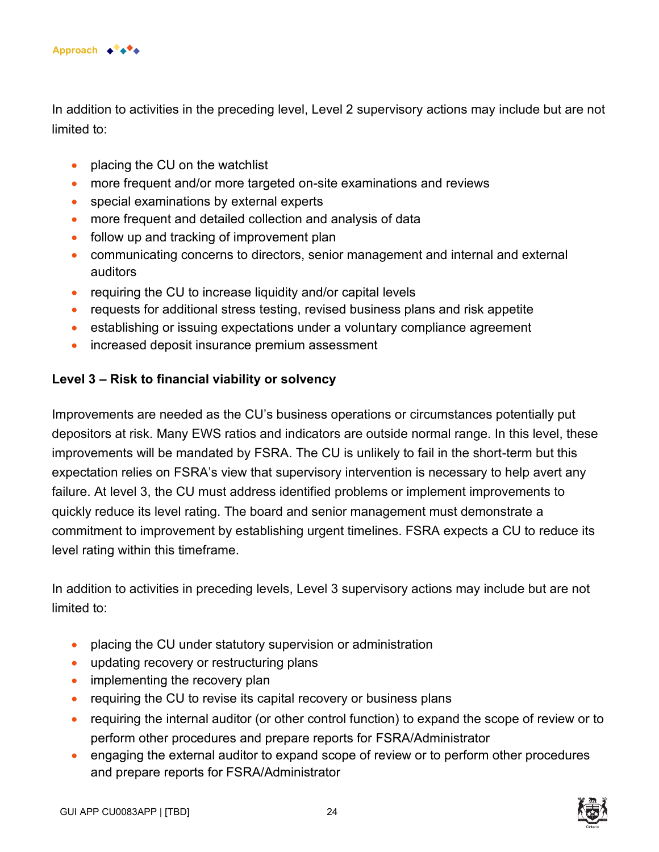

In addition to activities in the preceding level, Level 2 supervisory actions may include but are not limited to:

- placing the CU on the watchlist
- more frequent and/or more targeted on-site examinations and reviews
- special examinations by external experts
- more frequent and detailed collection and analysis of data
- follow up and tracking of improvement plan
- communicating concerns to directors, senior management and internal and external auditors
- requiring the CU to increase liquidity and/or capital levels
- requests for additional stress testing, revised business plans and risk appetite
- establishing or issuing expectations under a voluntary compliance agreement
- increased deposit insurance premium assessment

#### **Level 3 – Risk to financial viability or solvency**

Improvements are needed as the CU's business operations or circumstances potentially put depositors at risk. Many EWS ratios and indicators are outside normal range. In this level, these improvements will be mandated by FSRA. The CU is unlikely to fail in the short-term but this expectation relies on FSRA's view that supervisory intervention is necessary to help avert any failure. At level 3, the CU must address identified problems or implement improvements to quickly reduce its level rating. The board and senior management must demonstrate a commitment to improvement by establishing urgent timelines. FSRA expects a CU to reduce its level rating within this timeframe.

In addition to activities in preceding levels, Level 3 supervisory actions may include but are not limited to:

- placing the CU under statutory supervision or administration
- updating recovery or restructuring plans
- implementing the recovery plan
- requiring the CU to revise its capital recovery or business plans
- requiring the internal auditor (or other control function) to expand the scope of review or to perform other procedures and prepare reports for FSRA/Administrator
- engaging the external auditor to expand scope of review or to perform other procedures and prepare reports for FSRA/Administrator

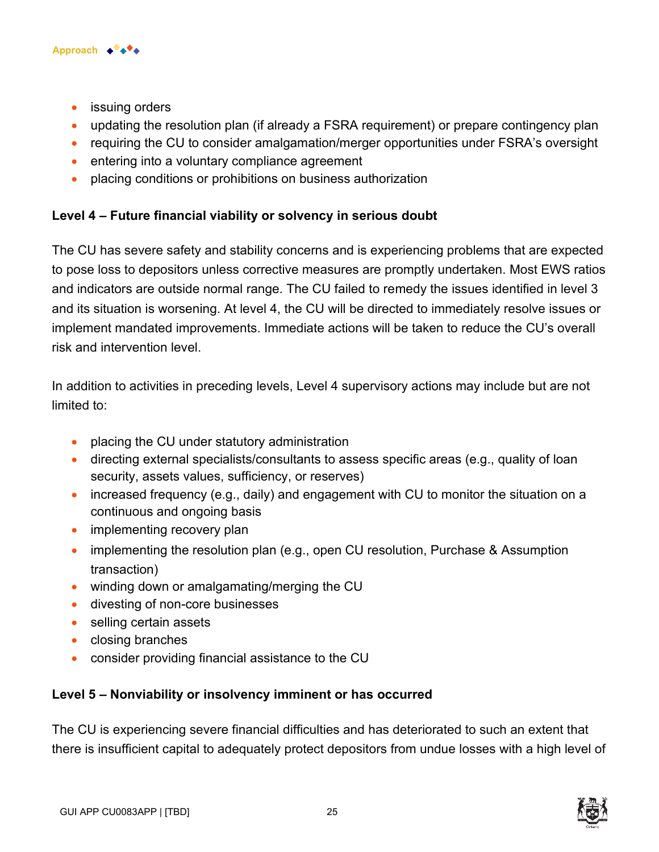

- issuing orders
- updating the resolution plan (if already a FSRA requirement) or prepare contingency plan
- requiring the CU to consider amalgamation/merger opportunities under FSRA's oversight
- entering into a voluntary compliance agreement
- placing conditions or prohibitions on business authorization

#### **Level 4 – Future financial viability or solvency in serious doubt**

The CU has severe safety and stability concerns and is experiencing problems that are expected to pose loss to depositors unless corrective measures are promptly undertaken. Most EWS ratios and indicators are outside normal range. The CU failed to remedy the issues identified in level 3 and its situation is worsening. At level 4, the CU will be directed to immediately resolve issues or implement mandated improvements. Immediate actions will be taken to reduce the CU's overall risk and intervention level.

In addition to activities in preceding levels, Level 4 supervisory actions may include but are not limited to:

- placing the CU under statutory administration
- directing external specialists/consultants to assess specific areas (e.g., quality of loan security, assets values, sufficiency, or reserves)
- increased frequency (e.g., daily) and engagement with CU to monitor the situation on a continuous and ongoing basis
- implementing recovery plan
- implementing the resolution plan (e.g., open CU resolution, Purchase & Assumption transaction)
- winding down or amalgamating/merging the CU
- divesting of non-core businesses
- selling certain assets
- closing branches
- consider providing financial assistance to the CU

#### **Level 5 – Nonviability or insolvency imminent or has occurred**

The CU is experiencing severe financial difficulties and has deteriorated to such an extent that there is insufficient capital to adequately protect depositors from undue losses with a high level of



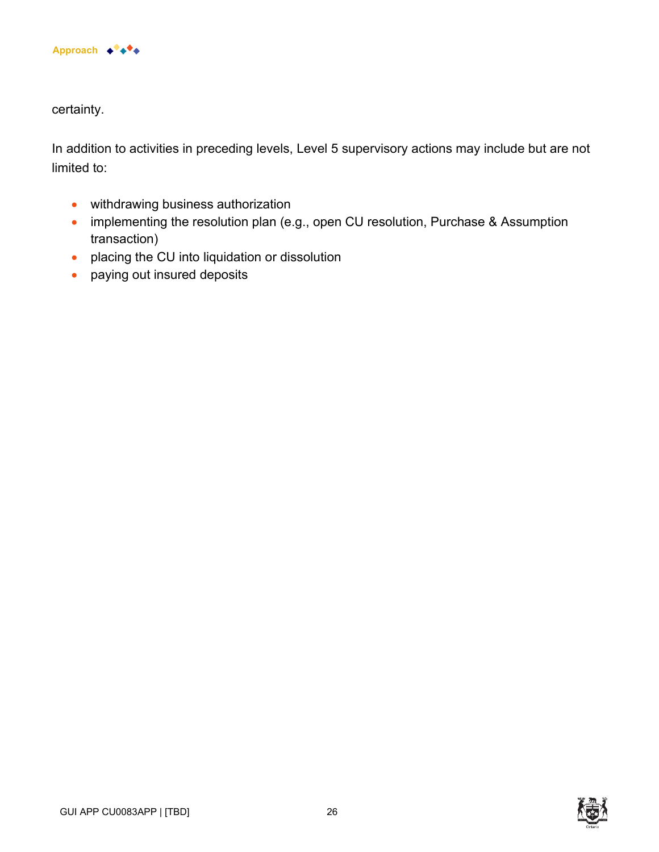

certainty.

In addition to activities in preceding levels, Level 5 supervisory actions may include but are not limited to:

- withdrawing business authorization
- implementing the resolution plan (e.g., open CU resolution, Purchase & Assumption transaction)
- placing the CU into liquidation or dissolution
- paying out insured deposits

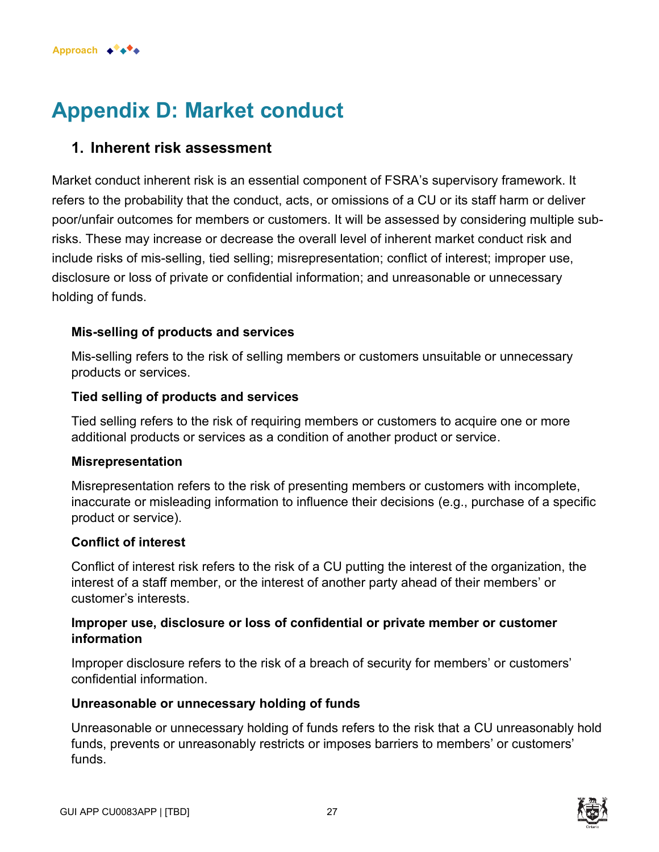

# **Appendix D: Market conduct**

### **1. Inherent risk assessment**

Market conduct inherent risk is an essential component of FSRA's supervisory framework. It refers to the probability that the conduct, acts, or omissions of a CU or its staff harm or deliver poor/unfair outcomes for members or customers. It will be assessed by considering multiple subrisks. These may increase or decrease the overall level of inherent market conduct risk and include risks of mis-selling, tied selling; misrepresentation; conflict of interest; improper use, disclosure or loss of private or confidential information; and unreasonable or unnecessary holding of funds.

#### **Mis-selling of products and services**

Mis-selling refers to the risk of selling members or customers unsuitable or unnecessary products or services.

#### **Tied selling of products and services**

Tied selling refers to the risk of requiring members or customers to acquire one or more additional products or services as a condition of another product or service.

#### **Misrepresentation**

Misrepresentation refers to the risk of presenting members or customers with incomplete, inaccurate or misleading information to influence their decisions (e.g., purchase of a specific product or service).

#### **Conflict of interest**

Conflict of interest risk refers to the risk of a CU putting the interest of the organization, the interest of a staff member, or the interest of another party ahead of their members' or customer's interests.

#### **Improper use, disclosure or loss of confidential or private member or customer information**

Improper disclosure refers to the risk of a breach of security for members' or customers' confidential information.

#### **Unreasonable or unnecessary holding of funds**

Unreasonable or unnecessary holding of funds refers to the risk that a CU unreasonably hold funds, prevents or unreasonably restricts or imposes barriers to members' or customers' funds.

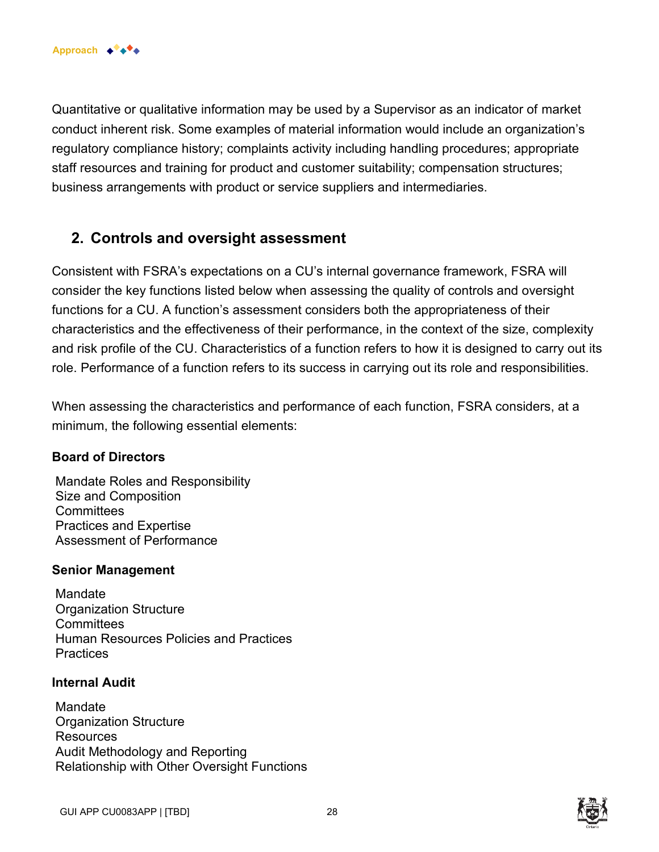Quantitative or qualitative information may be used by a Supervisor as an indicator of market conduct inherent risk. Some examples of material information would include an organization's regulatory compliance history; complaints activity including handling procedures; appropriate staff resources and training for product and customer suitability; compensation structures; business arrangements with product or service suppliers and intermediaries.

### **2. Controls and oversight assessment**

Consistent with FSRA's expectations on a CU's internal governance framework, FSRA will consider the key functions listed below when assessing the quality of controls and oversight functions for a CU. A function's assessment considers both the appropriateness of their characteristics and the effectiveness of their performance, in the context of the size, complexity and risk profile of the CU. Characteristics of a function refers to how it is designed to carry out its role. Performance of a function refers to its success in carrying out its role and responsibilities.

When assessing the characteristics and performance of each function, FSRA considers, at a minimum, the following essential elements:

#### **Board of Directors**

 Mandate Roles and Responsibility Size and Composition **Committees**  Practices and Expertise Assessment of Performance

#### **Senior Management**

**Mandate**  Organization Structure **Committees**  Human Resources Policies and Practices **Practices** 

#### **Internal Audit**

 Mandate Organization Structure **Resources**  Audit Methodology and Reporting Relationship with Other Oversight Functions

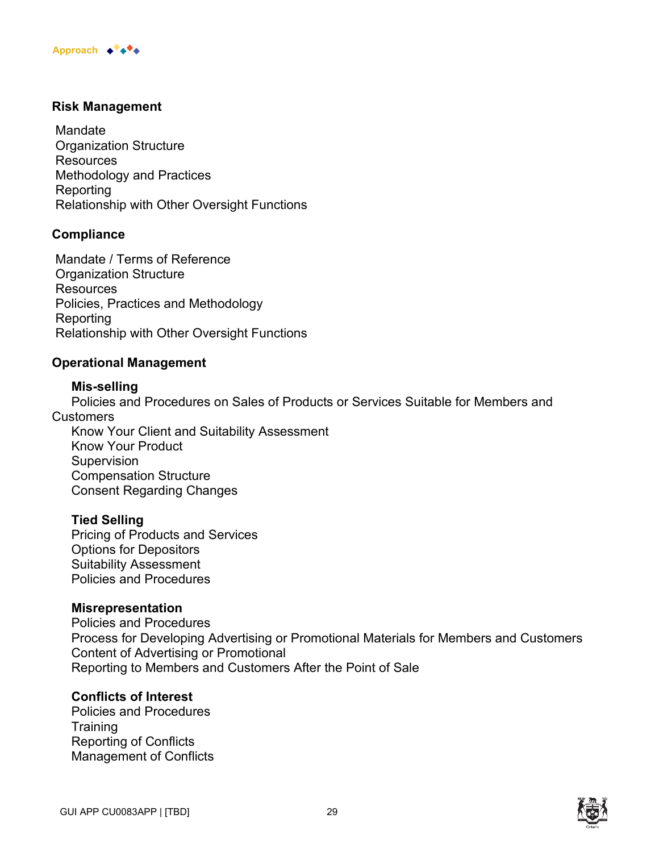#### **Risk Management**

 Mandate Organization Structure **Resources**  Methodology and Practices Reporting Relationship with Other Oversight Functions

#### **Compliance**

 Mandate / Terms of Reference Organization Structure **Resources**  Policies, Practices and Methodology **Reporting** Relationship with Other Oversight Functions

#### **Operational Management**

#### **Mis-selling**

Policies and Procedures on Sales of Products or Services Suitable for Members and **Customers** 

Know Your Client and Suitability Assessment Know Your Product **Supervision** Compensation Structure Consent Regarding Changes

#### **Tied Selling**

Pricing of Products and Services Options for Depositors Suitability Assessment Policies and Procedures

#### **Misrepresentation**

Policies and Procedures Process for Developing Advertising or Promotional Materials for Members and Customers Content of Advertising or Promotional Reporting to Members and Customers After the Point of Sale

#### **Conflicts of Interest**

Policies and Procedures **Training** Reporting of Conflicts Management of Conflicts